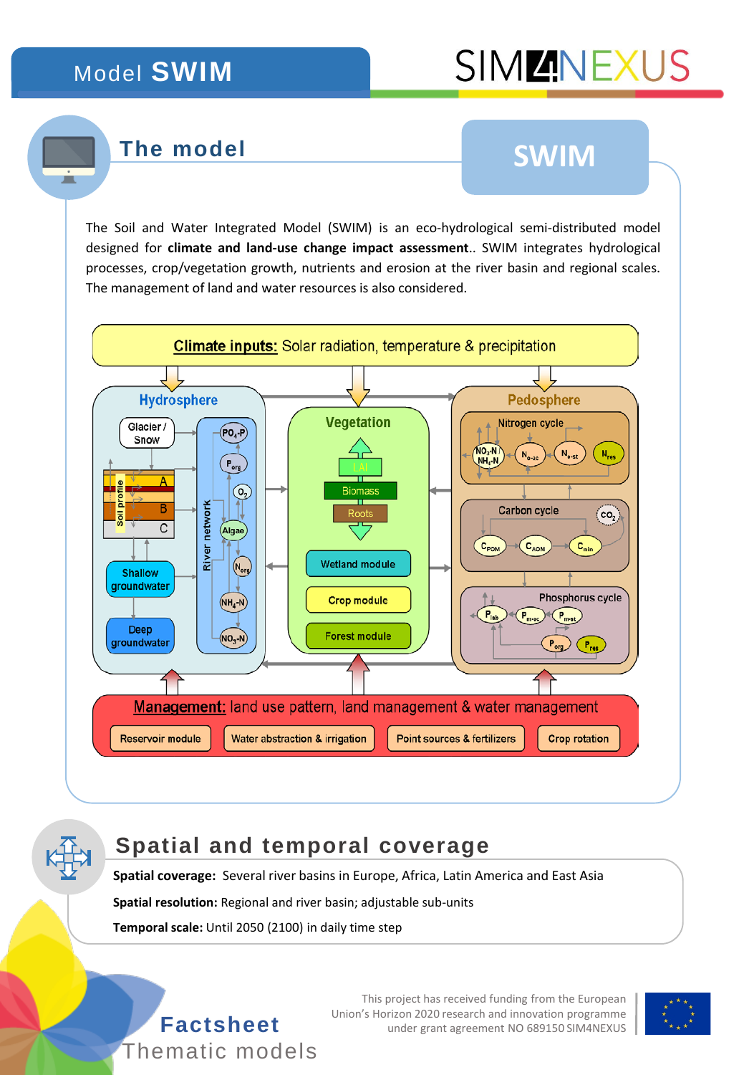### Model **SWIM**

# **SIMMINEXUS**

#### **The model**

# **SWIM**

The Soil and Water Integrated Model (SWIM) is an eco-hydrological semi-distributed model designed for **climate and land-use change impact assessment**.. SWIM integrates hydrological processes, crop/vegetation growth, nutrients and erosion at the river basin and regional scales. The management of land and water resources is also considered.



#### **Spatial and temporal coverage**

**Spatial coverage:** Several river basins in Europe, Africa, Latin America and East Asia

**Spatial resolution:** Regional and river basin; adjustable sub-units

**Temporal scale:** Until 2050 (2100) in daily time step



This project has received funding from the European Union's Horizon 2020 research and innovation programme **Factsheet** under grant agreement NO 689150 SIM4NEXUS